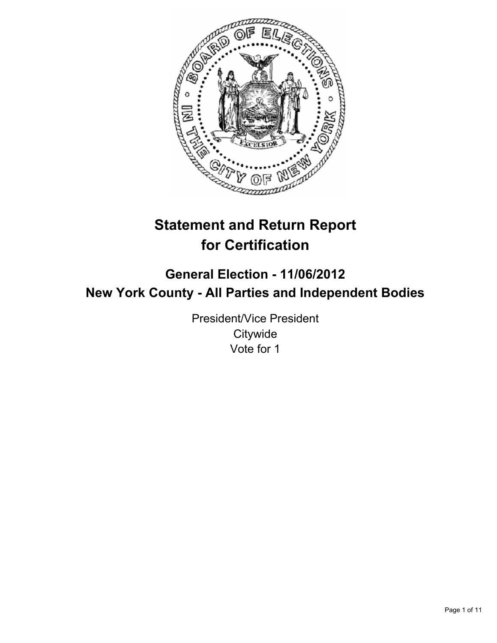

# **Statement and Return Report for Certification**

## **General Election - 11/06/2012 New York County - All Parties and Independent Bodies**

President/Vice President **Citywide** Vote for 1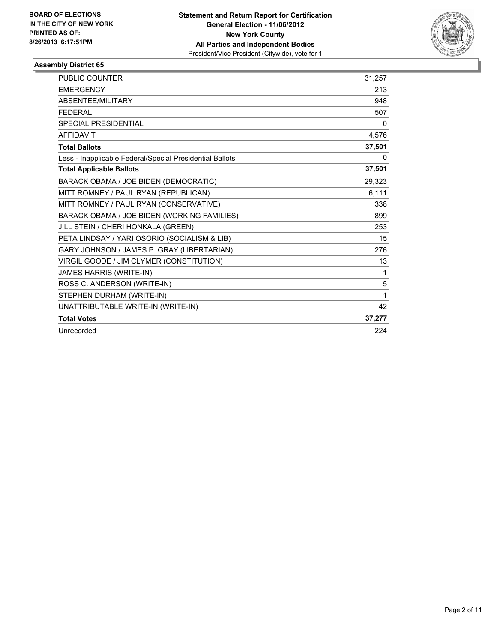

| <b>PUBLIC COUNTER</b>                                    | 31,257 |
|----------------------------------------------------------|--------|
| <b>EMERGENCY</b>                                         | 213    |
| ABSENTEE/MILITARY                                        | 948    |
| <b>FEDERAL</b>                                           | 507    |
| SPECIAL PRESIDENTIAL                                     | 0      |
| <b>AFFIDAVIT</b>                                         | 4,576  |
| <b>Total Ballots</b>                                     | 37,501 |
| Less - Inapplicable Federal/Special Presidential Ballots | 0      |
| <b>Total Applicable Ballots</b>                          | 37,501 |
| BARACK OBAMA / JOE BIDEN (DEMOCRATIC)                    | 29,323 |
| MITT ROMNEY / PAUL RYAN (REPUBLICAN)                     | 6,111  |
| MITT ROMNEY / PAUL RYAN (CONSERVATIVE)                   | 338    |
| BARACK OBAMA / JOE BIDEN (WORKING FAMILIES)              | 899    |
| JILL STEIN / CHERI HONKALA (GREEN)                       | 253    |
| PETA LINDSAY / YARI OSORIO (SOCIALISM & LIB)             | 15     |
| GARY JOHNSON / JAMES P. GRAY (LIBERTARIAN)               | 276    |
| VIRGIL GOODE / JIM CLYMER (CONSTITUTION)                 | 13     |
| JAMES HARRIS (WRITE-IN)                                  | 1      |
| ROSS C. ANDERSON (WRITE-IN)                              | 5      |
| STEPHEN DURHAM (WRITE-IN)                                | 1      |
| UNATTRIBUTABLE WRITE-IN (WRITE-IN)                       | 42     |
| <b>Total Votes</b>                                       | 37,277 |
| Unrecorded                                               | 224    |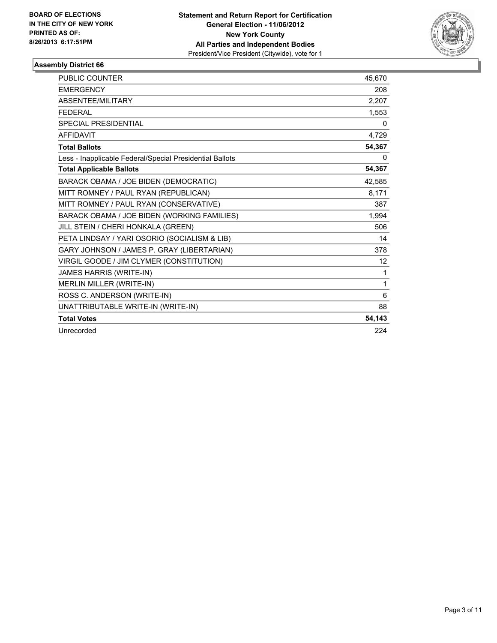

| <b>PUBLIC COUNTER</b>                                    | 45,670 |
|----------------------------------------------------------|--------|
| <b>EMERGENCY</b>                                         | 208    |
| ABSENTEE/MILITARY                                        | 2,207  |
| <b>FFDFRAI</b>                                           | 1,553  |
| <b>SPECIAL PRESIDENTIAL</b>                              | 0      |
| <b>AFFIDAVIT</b>                                         | 4,729  |
| <b>Total Ballots</b>                                     | 54,367 |
| Less - Inapplicable Federal/Special Presidential Ballots | 0      |
| <b>Total Applicable Ballots</b>                          | 54,367 |
| BARACK OBAMA / JOE BIDEN (DEMOCRATIC)                    | 42,585 |
| MITT ROMNEY / PAUL RYAN (REPUBLICAN)                     | 8,171  |
| MITT ROMNEY / PAUL RYAN (CONSERVATIVE)                   | 387    |
| BARACK OBAMA / JOE BIDEN (WORKING FAMILIES)              | 1,994  |
| JILL STEIN / CHERI HONKALA (GREEN)                       | 506    |
| PETA LINDSAY / YARI OSORIO (SOCIALISM & LIB)             | 14     |
| GARY JOHNSON / JAMES P. GRAY (LIBERTARIAN)               | 378    |
| VIRGIL GOODE / JIM CLYMER (CONSTITUTION)                 | 12     |
| JAMES HARRIS (WRITE-IN)                                  | 1      |
| <b>MERLIN MILLER (WRITE-IN)</b>                          | 1      |
| ROSS C. ANDERSON (WRITE-IN)                              | 6      |
| UNATTRIBUTABLE WRITE-IN (WRITE-IN)                       | 88     |
| <b>Total Votes</b>                                       | 54,143 |
| Unrecorded                                               | 224    |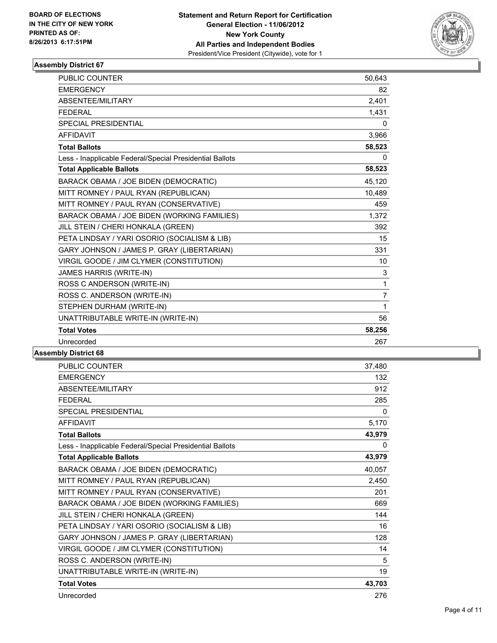

| <b>PUBLIC COUNTER</b>                                    | 50,643         |
|----------------------------------------------------------|----------------|
| <b>EMERGENCY</b>                                         | 82             |
| ABSENTEE/MILITARY                                        | 2,401          |
| <b>FEDERAL</b>                                           | 1,431          |
| <b>SPECIAL PRESIDENTIAL</b>                              | 0              |
| <b>AFFIDAVIT</b>                                         | 3,966          |
| <b>Total Ballots</b>                                     | 58,523         |
| Less - Inapplicable Federal/Special Presidential Ballots | 0              |
| <b>Total Applicable Ballots</b>                          | 58,523         |
| BARACK OBAMA / JOE BIDEN (DEMOCRATIC)                    | 45,120         |
| MITT ROMNEY / PAUL RYAN (REPUBLICAN)                     | 10,489         |
| MITT ROMNEY / PAUL RYAN (CONSERVATIVE)                   | 459            |
| BARACK OBAMA / JOE BIDEN (WORKING FAMILIES)              | 1,372          |
| JILL STEIN / CHERI HONKALA (GREEN)                       | 392            |
| PETA LINDSAY / YARI OSORIO (SOCIALISM & LIB)             | 15             |
| GARY JOHNSON / JAMES P. GRAY (LIBERTARIAN)               | 331            |
| VIRGIL GOODE / JIM CLYMER (CONSTITUTION)                 | 10             |
| JAMES HARRIS (WRITE-IN)                                  | 3              |
| ROSS C ANDERSON (WRITE-IN)                               | $\mathbf{1}$   |
| ROSS C. ANDERSON (WRITE-IN)                              | $\overline{7}$ |
| STEPHEN DURHAM (WRITE-IN)                                | $\mathbf{1}$   |
| UNATTRIBUTABLE WRITE-IN (WRITE-IN)                       | 56             |
| <b>Total Votes</b>                                       | 58,256         |
| Unrecorded                                               | 267            |

| PUBLIC COUNTER                                           | 37,480       |
|----------------------------------------------------------|--------------|
| <b>EMERGENCY</b>                                         | 132          |
| ABSENTEE/MILITARY                                        | 912          |
| <b>FEDERAL</b>                                           | 285          |
| <b>SPECIAL PRESIDENTIAL</b>                              | $\mathbf{0}$ |
| <b>AFFIDAVIT</b>                                         | 5,170        |
| <b>Total Ballots</b>                                     | 43,979       |
| Less - Inapplicable Federal/Special Presidential Ballots | 0            |
| <b>Total Applicable Ballots</b>                          | 43,979       |
| BARACK OBAMA / JOE BIDEN (DEMOCRATIC)                    | 40,057       |
| MITT ROMNEY / PAUL RYAN (REPUBLICAN)                     | 2,450        |
| MITT ROMNEY / PAUL RYAN (CONSERVATIVE)                   | 201          |
| BARACK OBAMA / JOE BIDEN (WORKING FAMILIES)              | 669          |
| JILL STEIN / CHERI HONKALA (GREEN)                       | 144          |
| PETA LINDSAY / YARI OSORIO (SOCIALISM & LIB)             | 16           |
| GARY JOHNSON / JAMES P. GRAY (LIBERTARIAN)               | 128          |
| VIRGIL GOODE / JIM CLYMER (CONSTITUTION)                 | 14           |
| ROSS C. ANDERSON (WRITE-IN)                              | 5            |
| UNATTRIBUTABLE WRITE-IN (WRITE-IN)                       | 19           |
| <b>Total Votes</b>                                       | 43,703       |
| Unrecorded                                               | 276          |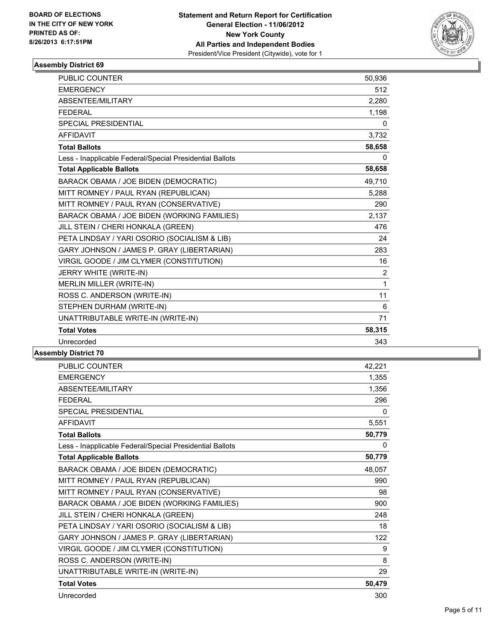

| <b>PUBLIC COUNTER</b>                                    | 50,936       |
|----------------------------------------------------------|--------------|
| <b>EMERGENCY</b>                                         | 512          |
| ABSENTEE/MILITARY                                        | 2,280        |
| <b>FEDERAL</b>                                           | 1,198        |
| SPECIAL PRESIDENTIAL                                     | 0            |
| <b>AFFIDAVIT</b>                                         | 3,732        |
| <b>Total Ballots</b>                                     | 58,658       |
| Less - Inapplicable Federal/Special Presidential Ballots | $\mathbf{0}$ |
| <b>Total Applicable Ballots</b>                          | 58,658       |
| BARACK OBAMA / JOE BIDEN (DEMOCRATIC)                    | 49,710       |
| MITT ROMNEY / PAUL RYAN (REPUBLICAN)                     | 5,288        |
| MITT ROMNEY / PAUL RYAN (CONSERVATIVE)                   | 290          |
| BARACK OBAMA / JOE BIDEN (WORKING FAMILIES)              | 2,137        |
| JILL STEIN / CHERI HONKALA (GREEN)                       | 476          |
| PETA LINDSAY / YARI OSORIO (SOCIALISM & LIB)             | 24           |
| GARY JOHNSON / JAMES P. GRAY (LIBERTARIAN)               | 283          |
| VIRGIL GOODE / JIM CLYMER (CONSTITUTION)                 | 16           |
| JERRY WHITE (WRITE-IN)                                   | 2            |
| MERLIN MILLER (WRITE-IN)                                 | $\mathbf{1}$ |
| ROSS C. ANDERSON (WRITE-IN)                              | 11           |
| STEPHEN DURHAM (WRITE-IN)                                | 6            |
| UNATTRIBUTABLE WRITE-IN (WRITE-IN)                       | 71           |
| <b>Total Votes</b>                                       | 58,315       |
| Unrecorded                                               | 343          |

| PUBLIC COUNTER                                           | 42,221 |
|----------------------------------------------------------|--------|
| <b>EMERGENCY</b>                                         | 1,355  |
| ABSENTEE/MILITARY                                        | 1,356  |
| <b>FEDERAL</b>                                           | 296    |
| <b>SPECIAL PRESIDENTIAL</b>                              | 0      |
| <b>AFFIDAVIT</b>                                         | 5,551  |
| <b>Total Ballots</b>                                     | 50,779 |
| Less - Inapplicable Federal/Special Presidential Ballots | 0      |
| <b>Total Applicable Ballots</b>                          | 50,779 |
| BARACK OBAMA / JOE BIDEN (DEMOCRATIC)                    | 48,057 |
| MITT ROMNEY / PAUL RYAN (REPUBLICAN)                     | 990    |
| MITT ROMNEY / PAUL RYAN (CONSERVATIVE)                   | 98     |
| BARACK OBAMA / JOE BIDEN (WORKING FAMILIES)              | 900    |
| JILL STEIN / CHERI HONKALA (GREEN)                       | 248    |
| PETA LINDSAY / YARI OSORIO (SOCIALISM & LIB)             | 18     |
| GARY JOHNSON / JAMES P. GRAY (LIBERTARIAN)               | 122    |
| VIRGIL GOODE / JIM CLYMER (CONSTITUTION)                 | 9      |
| ROSS C. ANDERSON (WRITE-IN)                              | 8      |
| UNATTRIBUTABLE WRITE-IN (WRITE-IN)                       | 29     |
| <b>Total Votes</b>                                       | 50,479 |
| Unrecorded                                               | 300    |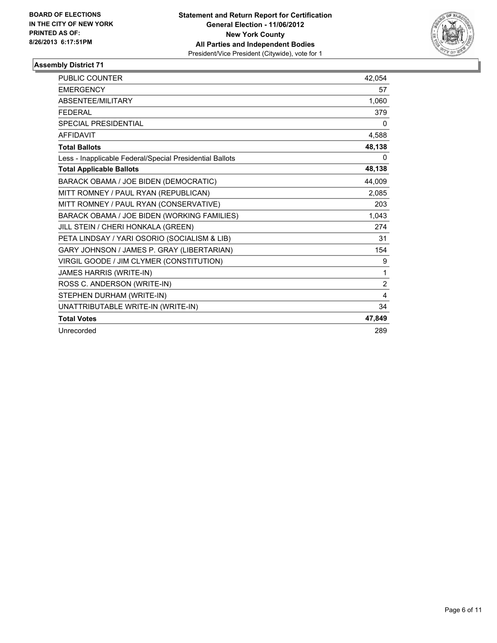

| <b>PUBLIC COUNTER</b>                                    | 42,054 |
|----------------------------------------------------------|--------|
| <b>EMERGENCY</b>                                         | 57     |
| <b>ABSENTEE/MILITARY</b>                                 | 1,060  |
| <b>FFDFRAI</b>                                           | 379    |
| <b>SPECIAL PRESIDENTIAL</b>                              | 0      |
| <b>AFFIDAVIT</b>                                         | 4,588  |
| <b>Total Ballots</b>                                     | 48,138 |
| Less - Inapplicable Federal/Special Presidential Ballots | 0      |
| <b>Total Applicable Ballots</b>                          | 48,138 |
| BARACK OBAMA / JOE BIDEN (DEMOCRATIC)                    | 44,009 |
| MITT ROMNEY / PAUL RYAN (REPUBLICAN)                     | 2,085  |
| MITT ROMNEY / PAUL RYAN (CONSERVATIVE)                   | 203    |
| BARACK OBAMA / JOE BIDEN (WORKING FAMILIES)              | 1,043  |
| JILL STEIN / CHERI HONKALA (GREEN)                       | 274    |
| PETA LINDSAY / YARI OSORIO (SOCIALISM & LIB)             | 31     |
| GARY JOHNSON / JAMES P. GRAY (LIBERTARIAN)               | 154    |
| VIRGIL GOODE / JIM CLYMER (CONSTITUTION)                 | 9      |
| JAMES HARRIS (WRITE-IN)                                  | 1      |
| ROSS C. ANDERSON (WRITE-IN)                              | 2      |
| STEPHEN DURHAM (WRITE-IN)                                | 4      |
| UNATTRIBUTABLE WRITE-IN (WRITE-IN)                       | 34     |
| <b>Total Votes</b>                                       | 47,849 |
| Unrecorded                                               | 289    |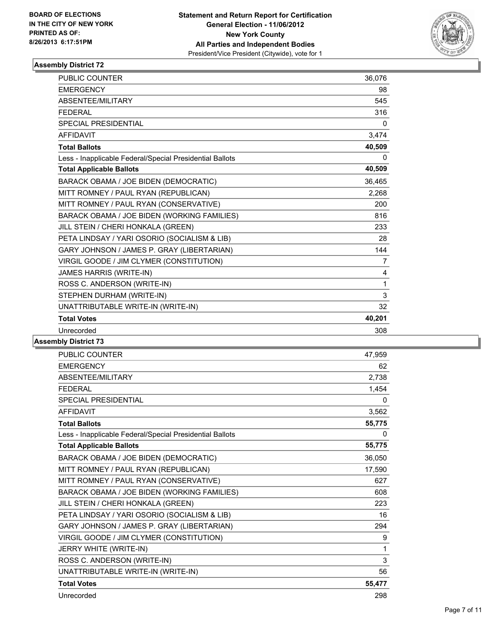

| <b>PUBLIC COUNTER</b>                                    | 36,076 |
|----------------------------------------------------------|--------|
| <b>EMERGENCY</b>                                         | 98     |
| <b>ABSENTEE/MILITARY</b>                                 | 545    |
| <b>FEDERAL</b>                                           | 316    |
| SPECIAL PRESIDENTIAL                                     | 0      |
| <b>AFFIDAVIT</b>                                         | 3,474  |
| <b>Total Ballots</b>                                     | 40,509 |
| Less - Inapplicable Federal/Special Presidential Ballots | 0      |
| <b>Total Applicable Ballots</b>                          | 40,509 |
| BARACK OBAMA / JOE BIDEN (DEMOCRATIC)                    | 36,465 |
| MITT ROMNEY / PAUL RYAN (REPUBLICAN)                     | 2,268  |
| MITT ROMNEY / PAUL RYAN (CONSERVATIVE)                   | 200    |
| BARACK OBAMA / JOE BIDEN (WORKING FAMILIES)              | 816    |
| JILL STEIN / CHERI HONKALA (GREEN)                       | 233    |
| PETA LINDSAY / YARI OSORIO (SOCIALISM & LIB)             | 28     |
| GARY JOHNSON / JAMES P. GRAY (LIBERTARIAN)               | 144    |
| VIRGIL GOODE / JIM CLYMER (CONSTITUTION)                 | 7      |
| JAMES HARRIS (WRITE-IN)                                  | 4      |
| ROSS C. ANDERSON (WRITE-IN)                              | 1      |
| STEPHEN DURHAM (WRITE-IN)                                | 3      |
| UNATTRIBUTABLE WRITE-IN (WRITE-IN)                       | 32     |
| <b>Total Votes</b>                                       | 40,201 |
| Unrecorded                                               | 308    |

| <b>PUBLIC COUNTER</b>                                    | 47,959 |
|----------------------------------------------------------|--------|
| <b>EMERGENCY</b>                                         | 62     |
| <b>ABSENTEE/MILITARY</b>                                 | 2,738  |
| <b>FEDERAL</b>                                           | 1,454  |
| SPECIAL PRESIDENTIAL                                     | 0      |
| <b>AFFIDAVIT</b>                                         | 3,562  |
| <b>Total Ballots</b>                                     | 55,775 |
| Less - Inapplicable Federal/Special Presidential Ballots | 0      |
| <b>Total Applicable Ballots</b>                          | 55,775 |
| BARACK OBAMA / JOE BIDEN (DEMOCRATIC)                    | 36,050 |
| MITT ROMNEY / PAUL RYAN (REPUBLICAN)                     | 17,590 |
| MITT ROMNEY / PAUL RYAN (CONSERVATIVE)                   | 627    |
| BARACK OBAMA / JOE BIDEN (WORKING FAMILIES)              | 608    |
| JILL STEIN / CHERI HONKALA (GREEN)                       | 223    |
| PETA LINDSAY / YARI OSORIO (SOCIALISM & LIB)             | 16     |
| GARY JOHNSON / JAMES P. GRAY (LIBERTARIAN)               | 294    |
| VIRGIL GOODE / JIM CLYMER (CONSTITUTION)                 | 9      |
| JERRY WHITE (WRITE-IN)                                   | 1      |
| ROSS C. ANDERSON (WRITE-IN)                              | 3      |
| UNATTRIBUTABLE WRITE-IN (WRITE-IN)                       | 56     |
| <b>Total Votes</b>                                       | 55,477 |
| Unrecorded                                               | 298    |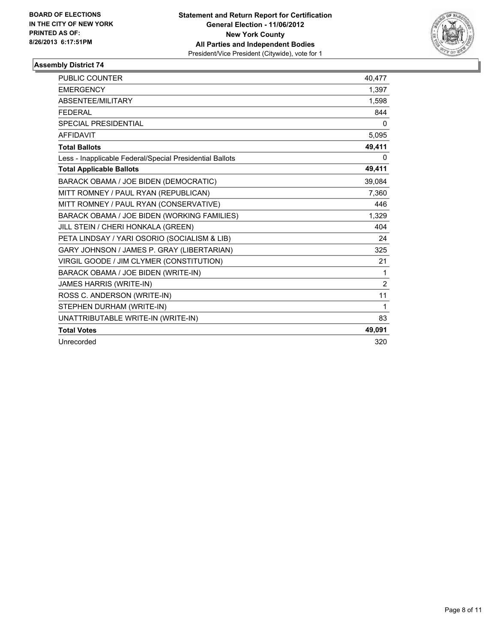

| PUBLIC COUNTER                                           | 40,477         |
|----------------------------------------------------------|----------------|
| <b>EMERGENCY</b>                                         | 1,397          |
| ABSENTEE/MILITARY                                        | 1,598          |
| <b>FEDERAL</b>                                           | 844            |
| <b>SPECIAL PRESIDENTIAL</b>                              | 0              |
| <b>AFFIDAVIT</b>                                         | 5,095          |
| <b>Total Ballots</b>                                     | 49,411         |
| Less - Inapplicable Federal/Special Presidential Ballots | 0              |
| <b>Total Applicable Ballots</b>                          | 49,411         |
| BARACK OBAMA / JOE BIDEN (DEMOCRATIC)                    | 39,084         |
| MITT ROMNEY / PAUL RYAN (REPUBLICAN)                     | 7,360          |
| MITT ROMNEY / PAUL RYAN (CONSERVATIVE)                   | 446            |
| BARACK OBAMA / JOE BIDEN (WORKING FAMILIES)              | 1,329          |
| JILL STEIN / CHERI HONKALA (GREEN)                       | 404            |
| PETA LINDSAY / YARI OSORIO (SOCIALISM & LIB)             | 24             |
| GARY JOHNSON / JAMES P. GRAY (LIBERTARIAN)               | 325            |
| VIRGIL GOODE / JIM CLYMER (CONSTITUTION)                 | 21             |
| BARACK OBAMA / JOE BIDEN (WRITE-IN)                      | $\mathbf 1$    |
| JAMES HARRIS (WRITE-IN)                                  | $\overline{2}$ |
| ROSS C. ANDERSON (WRITE-IN)                              | 11             |
| STEPHEN DURHAM (WRITE-IN)                                | 1              |
| UNATTRIBUTABLE WRITE-IN (WRITE-IN)                       | 83             |
| <b>Total Votes</b>                                       | 49,091         |
| Unrecorded                                               | 320            |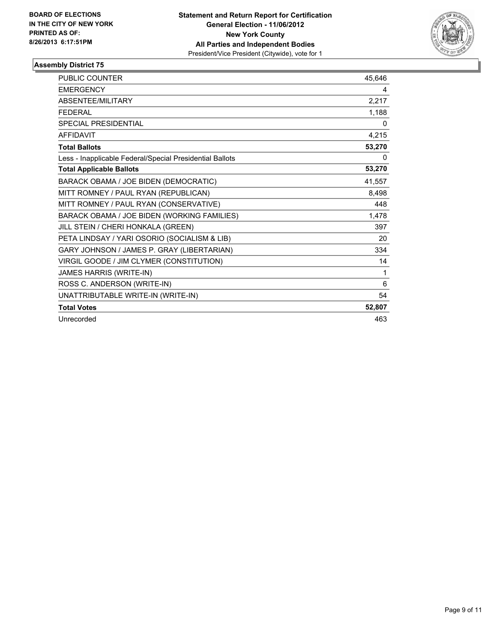

| <b>PUBLIC COUNTER</b>                                    | 45.646 |
|----------------------------------------------------------|--------|
| <b>EMERGENCY</b>                                         | 4      |
| <b>ABSENTEE/MILITARY</b>                                 | 2,217  |
| <b>FEDERAL</b>                                           | 1,188  |
| <b>SPECIAL PRESIDENTIAL</b>                              | 0      |
| <b>AFFIDAVIT</b>                                         | 4,215  |
| <b>Total Ballots</b>                                     | 53,270 |
| Less - Inapplicable Federal/Special Presidential Ballots | 0      |
| <b>Total Applicable Ballots</b>                          | 53,270 |
| BARACK OBAMA / JOE BIDEN (DEMOCRATIC)                    | 41,557 |
| MITT ROMNEY / PAUL RYAN (REPUBLICAN)                     | 8,498  |
| MITT ROMNEY / PAUL RYAN (CONSERVATIVE)                   | 448    |
| BARACK OBAMA / JOE BIDEN (WORKING FAMILIES)              | 1,478  |
| JILL STEIN / CHERI HONKALA (GREEN)                       | 397    |
| PETA LINDSAY / YARI OSORIO (SOCIALISM & LIB)             | 20     |
| GARY JOHNSON / JAMES P. GRAY (LIBERTARIAN)               | 334    |
| VIRGIL GOODE / JIM CLYMER (CONSTITUTION)                 | 14     |
| JAMES HARRIS (WRITE-IN)                                  | 1      |
| ROSS C. ANDERSON (WRITE-IN)                              | 6      |
| UNATTRIBUTABLE WRITE-IN (WRITE-IN)                       | 54     |
| <b>Total Votes</b>                                       | 52,807 |
| Unrecorded                                               | 463    |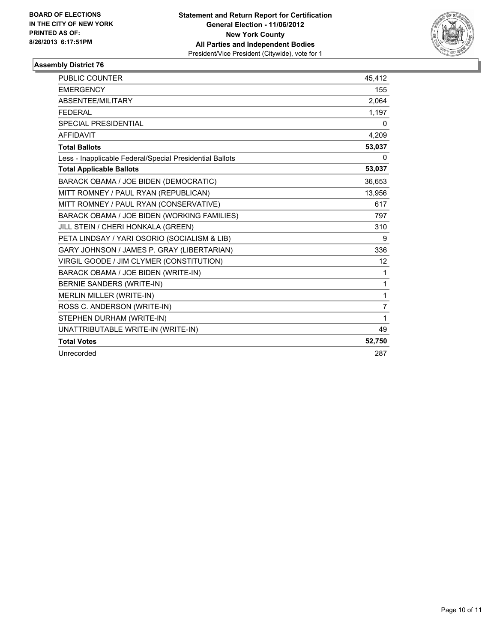

| <b>PUBLIC COUNTER</b>                                    | 45.412         |
|----------------------------------------------------------|----------------|
| <b>EMERGENCY</b>                                         | 155            |
| ABSENTEE/MILITARY                                        | 2,064          |
| <b>FFDFRAI</b>                                           | 1,197          |
| <b>SPECIAL PRESIDENTIAL</b>                              | 0              |
| <b>AFFIDAVIT</b>                                         | 4,209          |
| <b>Total Ballots</b>                                     | 53,037         |
| Less - Inapplicable Federal/Special Presidential Ballots | 0              |
| <b>Total Applicable Ballots</b>                          | 53,037         |
| BARACK OBAMA / JOE BIDEN (DEMOCRATIC)                    | 36,653         |
| MITT ROMNEY / PAUL RYAN (REPUBLICAN)                     | 13,956         |
| MITT ROMNEY / PAUL RYAN (CONSERVATIVE)                   | 617            |
| BARACK OBAMA / JOE BIDEN (WORKING FAMILIES)              | 797            |
| JILL STEIN / CHERI HONKALA (GREEN)                       | 310            |
| PETA LINDSAY / YARI OSORIO (SOCIALISM & LIB)             | 9              |
| GARY JOHNSON / JAMES P. GRAY (LIBERTARIAN)               | 336            |
| VIRGIL GOODE / JIM CLYMER (CONSTITUTION)                 | 12             |
| BARACK OBAMA / JOE BIDEN (WRITE-IN)                      | $\mathbf 1$    |
| BERNIE SANDERS (WRITE-IN)                                | $\mathbf{1}$   |
| <b>MERLIN MILLER (WRITE-IN)</b>                          | 1              |
| ROSS C. ANDERSON (WRITE-IN)                              | $\overline{7}$ |
| STEPHEN DURHAM (WRITE-IN)                                | $\mathbf 1$    |
| UNATTRIBUTABLE WRITE-IN (WRITE-IN)                       | 49             |
| <b>Total Votes</b>                                       | 52,750         |
| Unrecorded                                               | 287            |